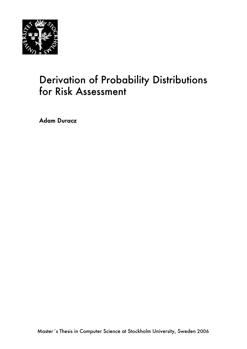

# Derivation of Probability Distributions for Risk Assessment

Adam Duracz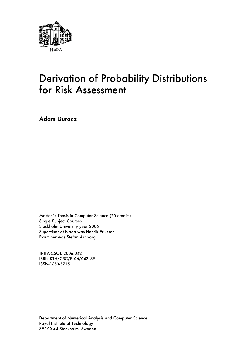

# Derivation of Probability Distributions for Risk Assessment

Adam Duracz

Master´s Thesis in Computer Science (20 credits) Single Subject Courses Stockholm University year 2006 Supervisor at Nada was Henrik Eriksson Examiner was Stefan Arnborg

TRITA-CSC-E 2006:042 ISRN-KTH/CSC/E-06/042-SE ISSN-1653-5715

Department of Numerical Analysis and Computer Science Royal Institute of Technology SE-100 44 Stockholm, Sweden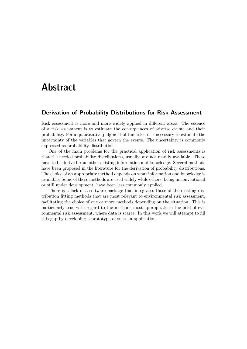# Abstract

#### **Derivation of Probability Distributions for Risk Assessment**

Risk assessment is more and more widely applied in different areas. The essence of a risk assessment is to estimate the consequences of adverse events and their probability. For a quantitative judgment of the risks, it is necessary to estimate the uncertainty of the variables that govern the events. The uncertainty is commonly expressed as probability distributions.

One of the main problems for the practical application of risk assessments is that the needed probability distributions, usually, are not readily available. These have to be derived from other existing information and knowledge. Several methods have been proposed in the literature for the derivation of probability distributions. The choice of an appropriate method depends on what information and knowledge is available. Some of these methods are used widely while others, being unconventional or still under development, have been less commonly applied.

There is a lack of a software package that integrates those of the existing distribution fitting methods that are most relevant to environmental risk assessment, facilitating the choice of one or more methods depending on the situation. This is particularly true with regard to the methods most appropriate in the field of evironmental risk assessment, where data is scarce. In this work we will attempt to fill this gap by developing a prototype of such an application.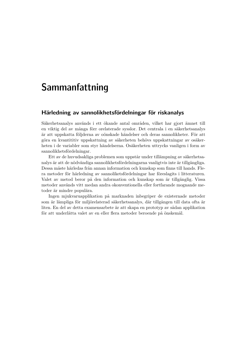# Sammanfattning

#### **Härledning av sannolikhetsfördelningar för riskanalys**

Säkerhetsanalys används i ett ökande antal områden, vilket har gjort ämnet till en viktig del av många förr orelaterade sysslor. Det centrala i en säkerhetsanalys är att uppskatta följderna av oönskade händelser och deras sannolikheter. För att göra en kvantititiv uppskattning av säkerheten behövs uppskattningar av osäkerheten i de variabler som styr händelserna. Osäkerheten uttrycks vanligen i form av sannolikhetsfördelningar.

Ett av de huvudsakliga problemen som uppstår under tillämpning av säkerhetsanalys är att de nödvändiga sannolikhetsfördelningarna vanligtvis inte är tillgängliga. Dessa måste härledas från annan information och kunskap som finns till hands. Flera metoder för härledning av sannoliketsfördelningar har föreslagits i litteraturen. Valet av metod beror på den information och kunskap som är tillgänglig. Vissa metoder används vitt medan andra okonventionella eller fortfarande mognande metoder är mindre populära.

Ingen mjukvaruapplikation på marknaden inbegriper de existernade metoder som är lämpliga för miljörelaterad säkerhetsanalys, där tillgången till data ofta är liten. En del av detta examensarbete är att skapa en prototyp av sådan applikation för att underlätta valet av en eller flera metoder beroende på önskemål.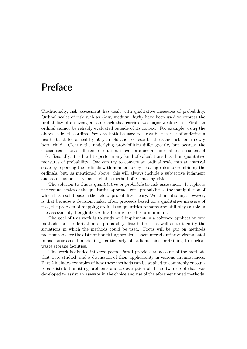# Preface

Traditionally, risk assessment has dealt with qualitative measures of probability. Ordinal scales of risk such as {low, medium, high} have been used to express the probability of an event, an approach that carries two major weaknesses. First, an ordinal cannot be reliably evaluated outside of its context. For example, using the above scale, the ordinal low can both be used to describe the risk of suffering a heart attack for a healthy 50 year old and to describe the same risk for a newly born child. Clearly the underlying probabilities differ greatly, but because the chosen scale lacks sufficient resolution, it can produce an unreliable assessment of risk. Secondly, it is hard to perform any kind of calculations based on qualitative measures of probability. One can try to convert an ordinal scale into an interval scale by replacing the ordinals with numbers or by creating rules for combining the ordinals, but, as mentioned above, this will always include a subjective judgment and can thus not serve as a reliable method of estimating risk.

The solution to this is quantitative or probabilistic risk assessment. It replaces the ordinal scales of the qualitative approach with probabilities, the manipulation of which has a solid base in the field of probability theory. Worth mentioning, however, is that because a decision maker often proceeds based on a qualitative measure of risk, the problem of mapping ordinals to quantities remains and still plays a role in the assessment, though its use has been reduced to a minimum.

The goal of this work is to study and implement in a software application two methods for the derivation of probability distributions, as well as to identify the situations in which the methods could be used. Focus will be put on methods most suitable for the distribution fitting problems encountered during environmental impact assessment modelling, particularly of radionucleids pertaining to nuclear waste storage facilities.

This work is divided into two parts. Part 1 provides an account of the methods that were studied, and a discussion of their applicability in various circumstances. Part 2 includes examples of how these methods can be applied to commonly encountered distributionfitting problems and a description of the software tool that was developed to assist an assessor in the choice and use of the aforementioned methods.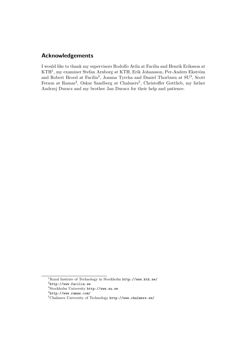### **Acknowledgements**

I would like to thank my supervisors Rodolfo Avila at Facilia and Henrik Eriksson at KTH<sup>1</sup> , my examiner Stefan Arnborg at KTH, Erik Johansson, Per-Anders Ekström and Robert Broed at Facilia<sup>2</sup>, Joanna Tyrcha and Daniel Thorburn at SU<sup>3</sup>, Scott Ferson at Ramas<sup>4</sup>, Oskar Sandberg at Chalmers<sup>5</sup>, Christoffer Gottlieb, my father Andrzej Duracz and my brother Jan Duracz for their help and patience.

<sup>1</sup>Royal Insitute of Technology in Stockholm http://www.kth.se/

 $^{2}$ http://www.facilia.se

<sup>3</sup>Stockholm University http://www.su.se

<sup>4</sup> http://www.ramas.com/

<sup>5</sup>Chalmers University of Technology http://www.chalmers.se/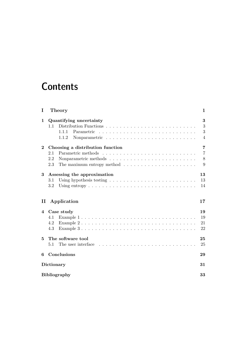# **Contents**

| I        | Theory                                                                                                                                                                                                                  | 1                             |
|----------|-------------------------------------------------------------------------------------------------------------------------------------------------------------------------------------------------------------------------|-------------------------------|
| 1        | Quantifying uncertainty<br>1.1<br>1.1.1<br>Parametric<br>1.1.2                                                                                                                                                          | 3<br>3<br>3<br>4              |
| $\bf{2}$ | Choosing a distribution function<br>2.1<br>2.2<br>The maximum entropy method $\ldots \ldots \ldots \ldots \ldots \ldots \ldots$<br>2.3                                                                                  | 7<br>$\overline{7}$<br>8<br>9 |
| 3        | Assessing the approximation<br>3.1<br>3.2                                                                                                                                                                               | 13<br>13<br>14                |
| П        | Application                                                                                                                                                                                                             | 17                            |
| 4        | Case study<br>Example $1 \ldots \ldots \ldots \ldots \ldots \ldots \ldots \ldots \ldots \ldots \ldots$<br>4.1<br>4.2<br>Example $3 \ldots \ldots \ldots \ldots \ldots \ldots \ldots \ldots \ldots \ldots \ldots$<br>4.3 | 19<br>19<br>21<br>22          |
| 5        | The software tool<br>5.1                                                                                                                                                                                                | 25<br>25                      |
| 6        | Conclusions                                                                                                                                                                                                             | 29                            |
|          | Dictionary                                                                                                                                                                                                              | 31                            |
|          | <b>Bibliography</b>                                                                                                                                                                                                     | 33                            |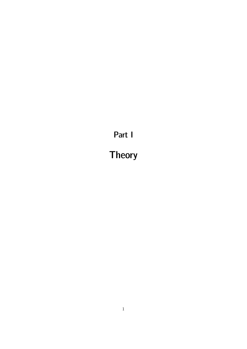Part I

Theory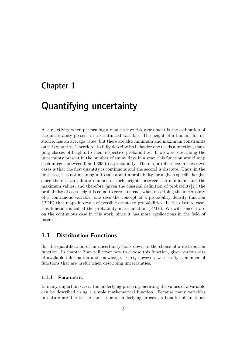### Chapter 1

# Quantifying uncertainty

A key activity when performing a quantitative risk assessment is the estimation of the uncertainty present in a scrutinized variable. The height of a human, for instance, has an average value, but there are also minimum and maximum constraints on this quantity. Therefore, to fully describe its behavior one needs a function, mapping classes of heights to their respective probabilities. If we were describing the uncertainty present in the number of sunny days in a year, this function would map each integer between 0 and 365 to a probability. The major difference in these two cases is that the first quantity is continuous and the second is discrete. Thus, in the first case, it is not meaningful to talk about a probability for a given specific height, since there is an infinite number of such heights between the minimum and the maximum values, and therefore (given the classical definition of probability[1]) the probability of each height is equal to zero. Instead, when describing the uncertainty of a continuous variable, one uses the concept of a probability density function (PDF) that maps intervals of possible events to probabilities. In the discrete case, this function is called the probability mass function (PMF). We will concentrate on the continuous case in this work, since it has more applications in the field of interest.

### **1.1 Distribution Functions**

So, the quantification of an uncertainty boils down to the choice of a distribution function. In chapter 2 we will cover how to choose this function, given various sets of available information and knowledge. First, however, we classify a number of functions that are useful when describing uncertainties.

#### **1.1.1 Parametric**

In many important cases, the underlying process generating the values of a variable can be described using a simple mathematical function. Because many variables in nature are due to the same type of underlying process, a handful of functions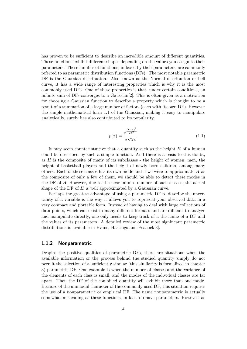has proven to be sufficient to describe an incredible amount of different quantities. These functions exhibit different shapes depending on the values you assign to their parameters. These families of functions, indexed by their parameters, are commonly referred to as parametric distribution functions (DFs). The most notable parametric DF is the Gaussian distribution. Also known as the Normal distribution or bell curve, it has a wide range of interesting properties which is why it is the most commonly used DFs. One of these properties is that, under certain conditions, an infinite sum of DFs converges to a Gaussian[2]. This is often given as a motivation for choosing a Gaussian function to describe a property which is thought to be a result of a summation of a large number of factors (each with its own DF). However the simple mathematical form 1.1 of the Gaussian, making it easy to manipulate analytically, surely has also contributed to its popularity.

$$
p(x) = \frac{e^{\frac{(x-\mu)^2}{2\sigma^2}}}{\sigma\sqrt{2\pi}}
$$
\n(1.1)

It may seem counterintuitive that a quantity such as the height  $H$  of a human could be described by such a simple function. And there is a basis to this doubt, as H is the composite of many of its subclasses - the height of women, men, the height of basketball players and the height of newly born children, among many others. Each of these classes has its own mode and if we were to approximate H as the composite of only a few of them, we should be able to detect these modes in the DF of H. However, due to the near infinite number of such classes, the actual shape of the DF of H is well approximated by a Gaussian curve.

Perhaps the greatest advantage of using a parametric DF to describe the uncertainty of a variable is the way it allows you to represent your observed data in a very compact and portable form. Instead of having to deal with large collections of data points, which can exist in many different formats and are difficult to analyze and manipulate directly, one only needs to keep track of a the name of a DF and the values of its parameters. A detailed review of the most significant parametric distributions is available in Evans, Hastings and Peacock[3].

#### **1.1.2 Nonparametric**

Despite the positive qualities of parametric DFs, there are situations when the available information or the process behind the studied quantity simply do not permit the selection of a sufficiently similar (this similarity is formalized in chapter 3) parametric DF. One example is when the number of classes and the variance of the elements of each class is small, and the modes of the individual classes are far apart. Then the DF of the combined quantity will exhibit more than one mode. Because of the unimodal character of the commonly used DF, this situation requires the use of a nonparametric or empirical DF. The name nonparametric is actually somewhat misleading as these functions, in fact, do have parameters. However, as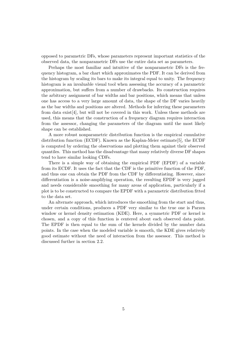opposed to parametric DFs, whose parameters represent important statistics of the observed data, the nonparametric DFs use the entire data set as parameters.

Perhaps the most familiar and intuitive of the nonparametric DFs is the frequency histogram, a bar chart which approximates the PDF. It can be derived from the histogram by scaling its bars to make its integral equal to unity. The frequency histogram is an invaluable visual tool when assessing the accuracy of a parametric approximation, but suffers from a number of drawbacks. Its construction requires the arbitrary assignment of bar widths and bar positions, which means that unless one has access to a very large amount of data, the shape of the DF varies heavily as the bar widths and positions are altered. Methods for inferring these parameters from data exist[4], but will not be covered in this work. Unless these methods are used, this means that the construction of a frequency diagram requires interaction from the assessor, changing the parameters of the diagram until the most likely shape can be established.

A more robust nonparametric distribution function is the empirical cumulative distribution function (ECDF). Known as the Kaplan-Meier estimate[5], the ECDF is computed by ordering the observations and plotting them against their observed quantiles. This method has the disadvantage that many relatively diverse DF shapes tend to have similar looking CDFs.

There is a simple way of obtaining the empirical PDF (EPDF) of a variable from its ECDF. It uses the fact that the CDF is the primitive function of the PDF, and thus one can obtain the PDF from the CDF by differentiating. However, since differentiation is a noise-amplifying operation, the resulting EPDF is very jagged and needs considerable smoothing for many areas of application, particularly if a plot is to be constructed to compare the EPDF with a parametric distribution fitted to the data set.

An alternate approach, which introduces the smoothing from the start and thus, under certain conditions, produces a PDF very similar to the true one is Parzen window or kernel density estimation (KDE). Here, a symmetric PDF or kernel is chosen, and a copy of this function is centered about each observed data point. The EPDF is then equal to the sum of the kernels divided by the number data points. In the case when the modeled variable is smooth, the KDE gives relatively good estimate without the need of interaction from the assessor. This method is discussed further in section 2.2.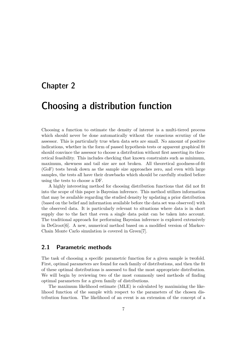### Chapter 2

# Choosing a distribution function

Choosing a function to estimate the density of interest is a multi-tiered process which should never be done automatically without the conscious scrutiny of the assessor. This is particularly true when data sets are small. No amount of positive indications, whether in the form of passed hypothesis tests or apparent graphical fit should convince the assessor to choose a distribution without first asserting its theoretical feasibility. This includes checking that known constraints such as minimum, maximum, skewness and tail size are not broken. All theoretical goodness-of-fit (GoF) tests break down as the sample size approaches zero, and even with large samples, the tests all have their drawbacks which should be carefully studied before using the tests to choose a DF.

A highly interesting method for choosing distribution functions that did not fit into the scope of this paper is Bayesian inference. This method utilizes information that may be available regarding the studied density by updating a prior distribution (based on the belief and information available before the data set was observed) with the observed data. It is particularly relevant to situations where data is in short supply due to the fact that even a single data point can be taken into account. The traditional approach for performing Bayesian inference is explored extensively in DeGroot[6]. A new, numerical method based on a modified version of Markov-Chain Monte Carlo simulation is covered in Green[7].

### **2.1 Parametric methods**

The task of choosing a specific parametric function for a given sample is twofold. First, optimal parameters are found for each family of distributions, and then the fit of these optimal distributions is assessed to find the most appropriate distribution. We will begin by reviewing two of the most commonly used methods of finding optimal parameters for a given family of distributions.

The maximum likelihood estimate (MLE) is calculated by maximizing the likelihood function of the sample with respect to the parameters of the chosen distribution function. The likelihood of an event is an extension of the concept of a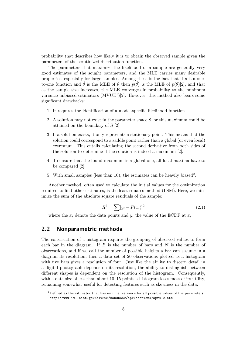probability that describes how likely it is to obtain the observed sample given the parameters of the scrutinized distribution function.

The parameters that maximize the likelihood of a sample are generally very good estimates of the sought parameters, and the MLE carries many desirable properties, especially for large samples. Among these is the fact that if  $p$  is a oneto-one function and  $\hat{\theta}$  is the MLE of  $\theta$  then  $p(\hat{\theta})$  is the MLE of  $p(\theta)[2]$ , and that as the sample size increases, the MLE converges in probability to the minimum variance unbiased estimators  $(MVUE^1)[2]$ . However, this method also bears some significant drawbacks:

- 1. It requires the identification of a model-specific likelihood function.
- 2. A solution may not exist in the parameter space S, or this maximum could be attained on the boundary of S [2].
- 3. If a solution exists, it only represents a stationary point. This means that the solution could correspond to a saddle point rather than a global (or even local) extremum. This entails calculating the second derivative from both sides of the solution to determine if the solution is indeed a maximum [2].
- 4. To ensure that the found maximum is a global one, all local maxima have to be compared [2].
- 5. With small samples (less than 10), the estimates can be heavily biased<sup>2</sup>.

Another method, often used to calculate the initial values for the optimization required to find other estimates, is the least squares method (LSM). Here, we minimize the sum of the absolute square residuals of the sample:

$$
R^2 = \sum [y_i - F(x_i)]^2
$$
 (2.1)

where the  $x_i$  denote the data points and  $y_i$  the value of the ECDF at  $x_i$ .

#### **2.2 Nonparametric methods**

The construction of a histogram requires the grouping of observed values to form each bar in the diagram. If  $B$  is the number of bars and  $N$  is the number of observations, and if we call the number of possible heights a bar can assume in a diagram its resolution, then a data set of 20 observations plotted as a histogram with five bars gives a resolution of four. Just like the ability to discern detail in a digital photograph depends on its resolution, the ability to distinguish between different shapes is dependent on the resolution of the histogram. Consequently, with a data size of less than about  $10-15$  points a histogram loses most of its utility, remaining somewhat useful for detecting features such as skewness in the data.

 $1$ Defined as the estimator that has minimal variance for all possible values of the parameters.  $^{2}$ http://www.itl.nist.gov/div898/handbook/apr/section $4$ /apr $412.$ htm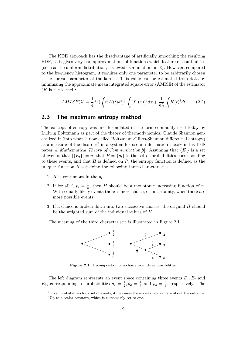The KDE approach has the disadvantage of artificially smoothing the resulting PDF, so it gives very bad approximations of functions which feature discontinuities (such as the uniform distribution, if viewed as a function on  $\mathbb{R}$ ). However, compared to the frequency histogram, it requires only one parameter to be arbitrarily chosen – the spread parameter of the kernel. This value can be estimated from data by minimizing the approximate mean integrated square error (AMISE) of the estimator  $(K$  is the kernel):

$$
AMISE(\lambda) = \frac{1}{4}\lambda^4 \left(\int_t t^2 K(t)dt\right)^2 \int_x (f''(x))^2 dx + \frac{1}{n\lambda} \int_t K(t)^2 dt \tag{2.2}
$$

### **2.3 The maximum entropy method**

The concept of entropy was first formulated in the form commonly used today by Ludwig Boltzmann as part of the theory of thermodynamics. Claude Shannon generalized it (into what is now called Boltzmann-Gibbs-Shannon differential entropy) as a measure of the disorder<sup>3</sup> in a system for use in information theory in his  $1948$ paper *A Mathematical Theory of Communication*[8]. Assuming that  ${E_i}$  is a set of events, that  $|\{E_i\}| = n$ , that  $P = \{p_i\}$  is the set of probabilities corresponding to these events, and that  $H$  is defined on  $P$ , the entropy function is defined as the unique<sup>4</sup> function  $H$  satisfying the following three characteristics.

- 1. *H* is continuous in the  $p_i$ .
- 2. If for all i,  $p_i = \frac{1}{n}$ , then H should be a monotonic increasing function of n. With equally likely events there is more choice, or uncertainty, when there are more possible events.
- 3. If a choice is broken down into two successive choices, the original H should be the weighted sum of the individual values of H.

The meaning of the third characteristic is illustrated in Figure 2.1.



Figure 2.1. Decomposition of a choice from three possibilities.

The left diagram represents an event space containing three events  $E_1, E_2$  and  $E_3$ , corresponding to probabilities  $p_1 = \frac{1}{2}$  $\frac{1}{2}, p_2 = \frac{1}{3}$  $\frac{1}{3}$  and  $p_3 = \frac{1}{6}$  $\frac{1}{6}$ , respectively. The

<sup>&</sup>lt;sup>3</sup>Given probabilities for a set of events, it measures the uncertainty we have about the outcome. <sup>4</sup>Up to a scalar constant, which is customarily set to one.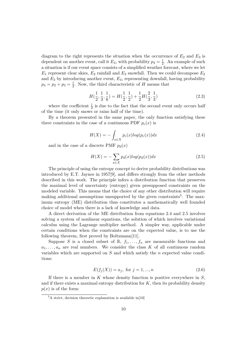diagram to the right represents the situation when the occurrence of  $E_2$  and  $E_3$  is dependent on another event, call it  $E_4$ , with probability  $p_4 = \frac{1}{2}$  $\frac{1}{2}$ . An example of such a situation is if our event space consists of a simplified weather forecast, where we let  $E_1$  represent clear skies,  $E_2$  rainfall and  $E_3$  snowfall. Then we could decompose  $E_2$ and  $E_3$  by introducing another event,  $E_4$ , representing downfall, having probability  $p_4 = p_2 + p_3 = \frac{1}{2}$  $\frac{1}{2}$ . Now, the third characteristic of H means that

$$
H(\frac{1}{2}, \frac{1}{3}, \frac{1}{6}) = H(\frac{1}{2}, \frac{1}{2}) + \frac{1}{2}H(\frac{2}{3}, \frac{1}{3})
$$
\n(2.3)

where the coefficient  $\frac{1}{2}$  is due to the fact that the second event only occurs half of the time (it only snows or rains half of the time).

By a theorem presented in the same paper, the only function satisfying these three constraints in the case of a continuous PDF  $p_c(x)$  is

$$
H(X) = -\int_{x \in X} p_c(x) \log(p_c(x)) dx \tag{2.4}
$$

and in the case of a discrete PMF  $p_d(x)$ 

$$
H(X) = -\sum_{x \in X} p_d(x) \log(p_d(x)) dx \tag{2.5}
$$

The principle of using the entropy concept to derive probability distributions was introduced by E.T. Jaynes in 1957[9], and differs strongly from the other methods described in this work. The principle infers a distribution function that preserves the maximal level of uncertainty (entropy) given presupposed constraints on the modeled variable. This means that the choice of any other distribution will require making additional assumptions unsupported by the given constraints<sup>5</sup>. The maximum entropy (ME) distribution thus constitutes a mathematically well founded choice of model when there is a lack of knowledge and data.

A direct derivation of the ME distribution from equations 2.4 and 2.5 involves solving a system of nonlinear equations, the solution of which involves variational calculus using the Lagrange multiplier method. A simpler way, applicable under certain conditions when the constraints are on the expected value, is to use the following theorem, first proved by Boltzmann[11].

Suppose S is a closed subset of  $\mathbb{R}$ ,  $f_1, \ldots, f_n$  are measurable functions and  $a_1, \ldots, a_n$  are real numbers. We consider the class K of all continuous random variables which are supported on  $S$  and which satisfy the n expected value conditions:

$$
E(f_j(X)) = a_j, \text{ for } j = 1, ..., n
$$
\n(2.6)

If there is a member in K whose density function is positive everywhere in  $S$ , and if there exists a maximal entropy distribution for  $K$ , then its probability density  $p(x)$  is of the form:

 ${}^{5}$ A strict, decision theoretic explanation is available in[10]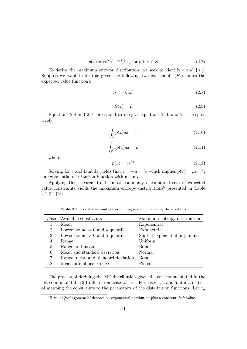$$
p(x) = ce^{\sum_{j=1}^{n} \lambda_j f_j(x)}, \text{ for all } x \in S
$$
 (2.7)

To derive the maximum entropy distribution, we seek to identify c and  $\{\lambda_i\}$ . Suppose we want to do this given the following two constraints  $(E$  denotes the expected value function):

$$
S = [0, \infty] \tag{2.8}
$$

$$
E(x) = \mu \tag{2.9}
$$

Equations 2.8 and 2.9 correspond to integral equations 2.10 and 2.11, respectively

$$
\int_{S} p(x)dx = 1\tag{2.10}
$$

$$
\int_{S} x p(x) dx = \mu \tag{2.11}
$$

where

$$
p(x) = ce^{\lambda x} \tag{2.12}
$$

Solving for c and lambda yields that  $c = -\mu = \lambda$ , which implies  $p(x) = \mu e^{-\mu x}$ , an exponential distribution function with mean  $\mu$ .

Applying this theorem to the most commonly encountered sets of expected value constraints yields the maximum entropy distributions <sup>6</sup> presented in Table 2.1 [12][13].

| Case | Available constraints              | Maximum entropy distribution |
|------|------------------------------------|------------------------------|
|      | Mean                               | Exponential                  |
| 2    | Lower bound $= 0$ and a quantile   | Exponential                  |
| 3    | Lower bound $> 0$ and a quantile   | Shifted exponential or gamma |
| 4    | Range                              | Uniform                      |
| 5    | Range and mean                     | Beta                         |
| 6    | Mean and standard deviation        | Normal                       |
|      | Range, mean and standard deviation | Beta                         |
| 8    | Mean rate of occurrence            | Poisson                      |

**Table 2.1.** Constraints and corresponding maximum entropy distributions.

The process of deriving the ME distribution given the constraints stated in the left column of Table 2.1 differs from case to case. For cases 1, 4 and 5, it is a matter of mapping the constraints to the parameters of the distribution functions. Let  $x_q$ 

<sup>&</sup>lt;sup>6</sup>Here, *shifted exponential* denotes an exponential disribution plus a constant shift value.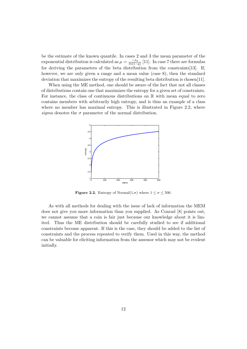be the estimate of the known quantile. In cases 2 and 3 the mean parameter of the exponential distribution is calculated as  $\mu = \frac{-x_q}{\ln(1-x_q)}$  $\frac{-x_q}{\ln(1-q)}$  [11]. In case 7 there are formulas for deriving the parameters of the beta distribution from the constraints[13]. If, however, we are only given a range and a mean value (case 8), then the standard deviation that maximizes the entropy of the resulting beta distribution is chosen[11].

When using the ME method, one should be aware of the fact that not all classes of distributions contain one that maximizes the entropy for a given set of constraints. For instance, the class of continuous distributions on  $\mathbb R$  with mean equal to zero contains members with arbitrarily high entropy, and is thus an example of a class where no member has maximal entropy. This is illustrated in Figure 2.2, where *sigma* denotes the  $\sigma$  parameter of the normal distribution.



**Figure 2.2.** Entropy of Normal $(1,\sigma)$  where  $1 \leq \sigma \leq 500$ .

As with all methods for dealing with the issue of lack of information the MEM does not give you more information than you supplied. As Conrad [8] points out, we cannot assume that a coin is fair just because our knowledge about it is limited. Thus the ME distribution should be carefully studied to see if additional constraints become apparent. If this is the case, they should be added to the list of constraints and the process repeated to verify them. Used in this way, the method can be valuable for eliciting information from the assessor which may not be evident initially.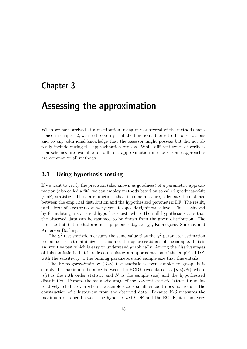### Chapter 3

# Assessing the approximation

When we have arrived at a distribution, using one or several of the methods mentioned in chapter 2, we need to verify that the function adheres to the observations and to any additional knowledge that the assessor might possess but did not already include during the approximation process. While different types of verification schemes are available for different approximation methods, some approaches are common to all methods.

### **3.1 Using hypothesis testing**

If we want to verify the precision (also known as goodness) of a parametric approximation (also called a fit), we can employ methods based on so called goodness-of-fit (GoF) statistics. These are functions that, in some measure, calculate the distance between the empirical distribution and the hypothesized parametric DF. The result, in the form of a yes or no answer given at a specific significance level. This is achieved by formulating a statistical hypothesis test, where the null hypothesis states that the observed data can be assumed to be drawn from the given distribution. The three test statistics that are most popular today are  $\chi^2$ , Kolmogorov-Smirnov and Anderson-Darling.

The  $\chi^2$  test statistic measures the same value that the  $\chi^2$  parameter estimation technique seeks to minimize - the sum of the square residuals of the sample. This is an intuitive test which is easy to understand graphically. Among the disadvantages of this statistic is that it relies on a histogram approximation of the empirical DF, with the sensitivity to the binning parameters and sample size that this entails.

The Kolmogorov-Smirnov (K-S) test statistic is even simpler to grasp, it is simply the maximum distance between the ECDF (calculated as  $\{n(i)/N\}$  where  $n(i)$  is the n:th order statistic and N is the sample size) and the hypothesized distribution. Perhaps the main advantage of the K-S test statistic is that it remains relatively reliable even when the sample size is small, since it does not require the construction of a histogram from the observed data. Because K-S measures the maximum distance between the hypothesized CDF and the ECDF, it is not very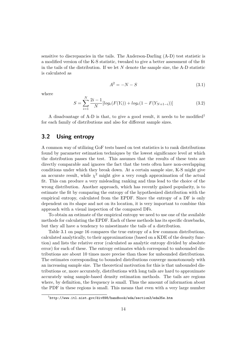sensitive to discrepancies in the tails. The Anderson-Darling (A-D) test statistic is a modified version of the K-S statistic, tweaked to give a better assessment of the fit in the tails of the distribution. If we let  $N$  denote the sample size, the A-D statistic is calculated as

$$
A^2 = -N - S \tag{3.1}
$$

where

$$
S = \sum_{i=1}^{N} \frac{2i-1}{N} [log_e(F(Y_i)) + log_e(1 - F(Y_{N+1-i}))]
$$
\n(3.2)

A disadvantage of A-D is that, to give a good result, it needs to be modified<sup>1</sup> for each family of distributions and also for different sample sizes.

#### **3.2 Using entropy**

A common way of utilizing GoF tests based on test statistics is to rank distributions found by parameter estimation techniques by the lowest significance level at which the distribution passes the test. This assumes that the results of these tests are directly comparable and ignores the fact that the tests often have non-overlapping conditions under which they break down. At a certain sample size, K-S might give an accurate result, while  $\chi^2$  might give a very rough approximation of the actual fit. This can produce a very misleading ranking and thus lead to the choice of the wrong distribution. Another approach, which has recently gained popularity, is to estimate the fit by comparing the entropy of the hypothesized distribution with the empirical entropy, calculated from the EPDF. Since the entropy of a DF is only dependent on its shape and not on its location, it is very important to combine this approach with a visual inspection of the compared DFs.

To obtain an estimate of the empirical entropy we need to use one of the available methods for calculating the EPDF. Each of these methods has its specific drawbacks, but they all have a tendency to misestimate the tails of a distribution.

Table 3.1 on page 16 compares the true entropy of a few common distributions, calculated analytically, to their approximations (based on a KDE of the density function) and lists the relative error (calculated as analytic entropy divided by absolute error) for each of these. The entropy estimates which correspond to unbounded distributions are about 10 times more precise than those for unbounded distributions. The estimates corresponding to bounded distributions converge monotonously with an increasing sample size. The theoretical motivation for this is that unbounded distributions or, more accurately, distributions with long tails are hard to approximate accurately using sample-based density estimation methods. The tails are regions where, by definition, the frequency is small. Thus the amount of information about the PDF in these regions is small. This means that even with a very large number

 $^{1}$ http://www.itl.nist.gov/div898/handbook/eda/section3/eda35e.htm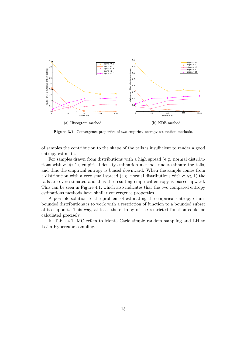

Figure 3.1. Convergence properties of two empirical entropy estimation methods.

of samples the contribution to the shape of the tails is insufficient to render a good entropy estimate.

For samples drawn from distributions with a high spread (e.g. normal distributions with  $\sigma \gg 1$ , empirical density estimation methods underestimate the tails, and thus the empirical entropy is biased downward. When the sample comes from a distribution with a very small spread (e.g. normal distributions with  $\sigma \lll 1$ ) the tails are overestimated and thus the resulting empirical entropy is biased upward. This can be seen in Figure 4.1, which also indicates that the two compared entropy estimations methods have similar convergence properties.

A possible solution to the problem of estimating the empirical entropy of unbounded distributions is to work with a restriction of function to a bounded subset of its support. This way, at least the entropy of the restricted function could be calculated precisely.

In Table 4.1, MC refers to Monte Carlo simple random sampling and LH to Latin Hypercube sampling.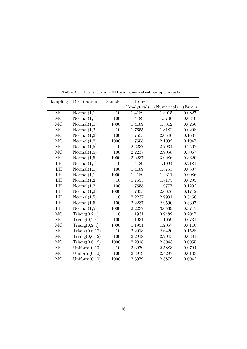| Sampling                   | Distribution           | Sample | Entropy      |             |         |
|----------------------------|------------------------|--------|--------------|-------------|---------|
|                            |                        |        | (Analytical) | (Numerical) | (Error) |
| MC                         | Normal(1,1)            | 10     | 1.4189       | 1.3015      | 0.0827  |
| MC                         | Normal(1,1)            | 100    | 1.4189       | 1.3706      | 0.0340  |
| MC                         | Normal(1,1)            | 1000   | 1.4189       | 1.3812      | 0.0266  |
| MC                         | Normal(1,2)            | 10     | 1.7655       | 1.8182      | 0.0298  |
| MC                         | Normal(1,2)            | 100    | 1.7655       | 2.0546      | 0.1637  |
| MC                         | Normal(1,2)            | 1000   | 1.7655       | 2.1092      | 0.1947  |
| MC                         | Normal(1,5)            | 10     | 2.2237       | 2.7934      | 0.2562  |
| MC                         | Normal(1,5)            | 100    | 2.2237       | 2.9058      | 0.3067  |
| MC                         | Normal(1,5)            | 1000   | 2.2237       | 3.0286      | 0.3620  |
| LH                         | Normal(1,1)            | 10     | 1.4189       | 1.1094      | 0.2181  |
| LH                         | Normal(1,1)            | 100    | 1.4189       | 1.3753      | 0.0307  |
| LH                         | Normal(1,1)            | 1000   | 1.4189       | 1.4311      | 0.0086  |
| LH                         | Normal(1,2)            | 10     | 1.7655       | 1.8175      | 0.0295  |
| $\mathop{\rm LH}\nolimits$ | Normal(1,2)            | 100    | 1.7655       | 1.9777      | 0.1202  |
| LH                         | Normal(1,2)            | 1000   | 1.7655       | 2.0676      | 0.1712  |
| LH                         | Normal(1,5)            | 10     | 2.2237       | 2.9931      | 0.3460  |
| LH                         | Normal(1,5)            | 100    | 2.2237       | 2.9590      | 0.3307  |
| LH                         | Normal(1,5)            | 1000   | 2.2237       | 3.0569      | 0.3747  |
| MC                         | $\text{Triang}(0,2,4)$ | 10     | 1.1931       | 0.9489      | 0.2047  |
| MC                         | Triang(0,2,4)          | 100    | 1.1931       | 1.1059      | 0.0731  |
| MC                         | Triang(0,2,4)          | 1000   | 1.1931       | 1.2057      | 0.0110  |
| MC                         | Triang(0,6,12)         | 10     | 2.2918       | 2.6420      | 0.1528  |
| MC                         | Triang(0,6,12)         | 100    | 2.2918       | 2.2045      | 0.0381  |
| MC                         | Triang(0,6,12)         | 1000   | 2.2918       | 2.3043      | 0.0055  |
| MC                         | Uniform $(0,10)$       | 10     | 2.3979       | 2.5883      | 0.0794  |
| MC                         | Uniform $(0,10)$       | 100    | 2.3979       | 2.4297      | 0.0133  |
| MC                         | Uniform $(0,10)$       | 1000   | 2.3979       | 2.3879      | 0.0042  |

**Table 3.1.** Accuracy of a KDE based numerical entropy approximation.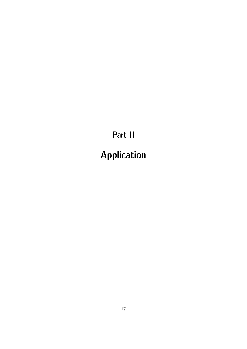Part II

Application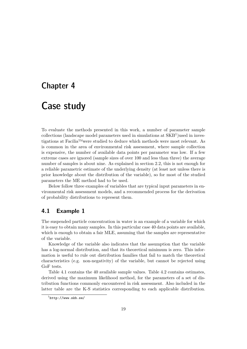### Chapter 4

# Case study

To evaluate the methods presented in this work, a number of parameter sample  $\text{collections}$  (landscape model parameters used in simulations at  $\angle$ KB<sup>1</sup>) used in investigations at Facilia™were studied to deduce which methods were most relevant. As is common in the area of environmental risk assessment, where sample collection is expensive, the number of available data points per parameter was low. If a few extreme cases are ignored (sample sizes of over 100 and less than three) the average number of samples is about nine. As explained in section 2.2, this is not enough for a reliable parametric estimate of the underlying density (at least not unless there is prior knowledge about the distribution of the variable), so for most of the studied parameters the ME method had to be used.

Below follow three examples of variables that are typical input parameters in environmental risk assessment models, and a recommended process for the derivation of probability distributions to represent them.

### **4.1 Example 1**

The suspended particle concentration in water is an example of a variable for which it is easy to obtain many samples. In this particular case 40 data points are available, which is enough to obtain a fair MLE, assuming that the samples are representative of the variable.

Knowledge of the variable also indicates that the assumption that the variable has a log-normal distribution, and that its theoretical minimum is zero. This information is useful to rule out distribution families that fail to match the theoretical characteristics (e.g. non-negativity) of the variable, but cannot be rejected using GoF tests.

Table 4.1 contains the 40 available sample values. Table 4.2 contains estimates, derived using the maximum likelihood method, for the parameters of a set of distribution functions commonly encountered in risk assessment. Also included in the latter table are the K-S statistics corresponding to each applicable distribution.

 $\frac{1}{1}$ http://www.skb.se/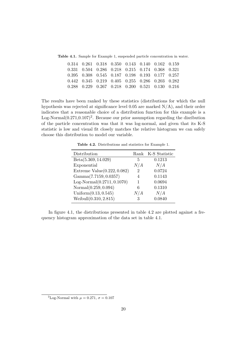**Table 4.1.** Sample for Example 1, suspended particle concentration in water.

| $0.314$ $0.261$ $0.318$ $0.350$ $0.143$ $0.140$ $0.162$ $0.159$ |  |  |  |
|-----------------------------------------------------------------|--|--|--|
| 0.331 0.504 0.286 0.218 0.215 0.174 0.368 0.321                 |  |  |  |
| 0.395 0.308 0.545 0.187 0.198 0.193 0.177 0.257                 |  |  |  |
| $0.442$ $0.345$ $0.219$ $0.405$ $0.255$ $0.286$ $0.203$ $0.282$ |  |  |  |
| $0.288$ $0.229$ $0.267$ $0.218$ $0.200$ $0.521$ $0.130$ $0.216$ |  |  |  |

The results have been ranked by these statistics (distributions for which the null hypothesis was rejected at significance level  $0.05$  are marked  $N/A$ ), and their order indicates that a reasonable choice of a distribution function for this example is a Log-Normal $(0.271, 0.107)^2$ . Because our prior assumption regarding the disribution of the particle concentration was that it was log-normal, and given that its K-S statistic is low and visual fit closely matches the relative histogram we can safely choose this distribution to model our variable.

**Table 4.2.** Distributions and statistics for Example 1.

| Distribution                  |     | Rank K-S Statistic |
|-------------------------------|-----|--------------------|
| Beta(5.369, 14.029)           | 5   | 0.1213             |
| Exponential                   | N/A | N/A                |
| Extreme $Value(0.222, 0.082)$ | 2   | 0.0724             |
| Gamma(7.7159, 0.0357)         | 4   | 0.1143             |
| $Log-Normal(0.2711, 0.1070)$  | 1   | 0.0694             |
| Normal(0.259, 0.094)          | 6   | 0.1310             |
| Uniform $(0.13, 0.545)$       | N/A | N/A                |
| Weibull $(0.310, 2.815)$      | 3   | 0.0840             |

In figure 4.1, the distributions presented in table 4.2 are plotted against a frequency histogram approximation of the data set in table 4.1.

<sup>&</sup>lt;sup>2</sup>Log-Normal with  $\mu = 0.271$ ,  $\sigma = 0.107$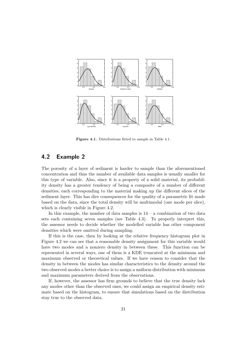

**Figure 4.1.** Distributions fitted to sample in Table 4.1.

### **4.2 Example 2**

The porosity of a layer of sediment is harder to sample than the aforementioned concentration and thus the number of available data samples is usually smaller for this type of variable. Also, since it is a property of a solid material, its probability density has a greater tendency of being a composite of a number of different densities, each corresponding to the material making up the different slices of the sediment layer. This has dire consequences for the quality of a parametric fit made based on the data, since the total density will be multimodal (one mode per slice), which is clearly visible in Figure 4.2.

In this example, the number of data samples is  $14 - a$  combination of two data sets each containing seven samples (see Table 4.3). To properly interpret this, the assessor needs to decide whether the modelled variable has other component densities which were omitted during sampling.

If this is the case, then by looking at the relative frequency histogram plot in Figure 4.2 we can see that a reasonable density assignment for this variable would have two modes and a nonzero density in between these. This function can be represented in several ways, one of them is a KDE truncated at the minimum and maximum observed or theoretical values. If we have reason to consider that the density in between the modes has similar characteristics to the density around the two observed modes a better choice is to assign a uniform distribution with minimum and maximum parameters derived from the observations.

If, however, the assessor has firm grounds to believe that the true density lack any modes other than the observed ones, we could assign an empirical density estimate based on the histogram, to ensure that simulations based on the distribution stay true to the observed data.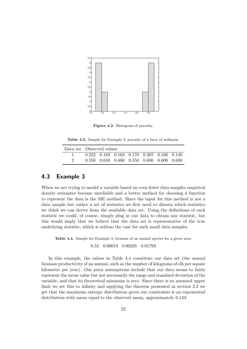

**Figure 4.2.** Histogram of porosity.

**Table 4.3.** Sample for Example 2, porosity of a layer of sediment.

| Data set Observed values |  |  |                                                         |  |  |  |
|--------------------------|--|--|---------------------------------------------------------|--|--|--|
|                          |  |  | $0.222$ $0.183$ $0.163$ $0.170$ $0.207$ $0.166$ $0.140$ |  |  |  |
|                          |  |  | $0.550$ $0.650$ $0.600$ $0.550$ $0.600$ $0.600$ $0.600$ |  |  |  |

### **4.3 Example 3**

When we are trying to model a variable based on even fewer data samples empirical density estimates become unreliable and a better method for choosing a function to represent the data is the ME method. Since the input for this method is not a data sample but rather a set of statistics we first need to discern which statistics we think we can derive from the available data set. Using the definitions of each statistic we could, of course, simply plug in our data to obtain any statistic, but this would imply that we believe that the data set is representative of the true underlying statistic, which is seldom the case for such small data samples.

Table 4.4. Sample for Example 3, biomass of an animal species for a given area.

0.55 0.00019 0.00235 0.01793

In this example, the values in Table 4.4 constitute our data set (the annual biomass productivity of an animal, such as the number of kilograms of elk per square kilometer per year). Our prior assumptions include that our data seems to fairly represent the mean value but not necessarily the range and standard deviation of the variable, and that its theoretical minimum is zero. Since there is no assumed upper limit we set this to infinity and applying the theorem presented in section 2.3 we get that the maximum entropy distribution given our constraints is an exponential distribution with mean equal to the observed mean, approximately 0.143.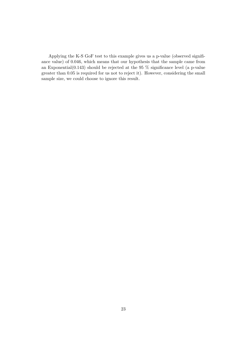Applying the K-S GoF test to this example gives us a p-value (observed signifiance value) of 0.046, which means that our hypothesis that the sample came from an Exponential $(0.143)$  should be rejected at the 95 % significance level (a p-value greater than 0.05 is required for us not to reject it). However, considering the small sample size, we could choose to ignore this result.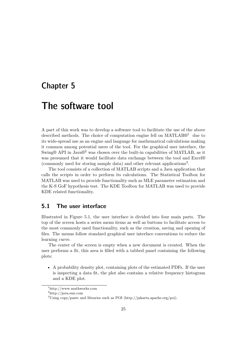### Chapter 5

## The software tool

A part of this work was to develop a software tool to facilitate the use of the above described methods. The choice of computation engine fell on  $MATLAB@<sup>1</sup>$  due to its wide-spread use as an engine and language for mathematical calculations making it common among potential users of the tool. For the graphical user interface, the Swing® API in Java®<sup>2</sup> was chosen over the built-in capabilities of MATLAB, as it was presumed that it would facilitate data exchange between the tool and Excel® (commonly used for storing sample data) and other relevant applications<sup>3</sup> .

The tool consists of a collection of MATLAB scripts and a Java application that calls the scripts in order to perform its calculations. The Statistical Toolbox for MATLAB was used to provide functionality such as MLE parameter estimation and the K-S GoF hypothesis test. The KDE Toolbox for MATLAB was used to provide KDE related functionality.

### **5.1 The user interface**

Illustrated in Figure 5.1, the user interface is divided into four main parts. The top of the screen hosts a series menu items as well as buttons to facilitate access to the most commonly used functionality, such as the creation, saving and opening of files. The menus follow standard graphical user interface conventions to reduce the learning curve.

The center of the screen is empty when a new document is created. When the user performs a fit, this area is filled with a tabbed panel containing the following plots:

• A probability density plot, containing plots of the estimated PDFs. If the user is inspecting a data fit, the plot also contains a relative frequency histogram and a KDE plot.

<sup>1</sup>http://www.mathworks.com

<sup>2</sup>http://java.sun.com

<sup>3</sup>Using copy/paste and libraries such as POI (http://jakarta.apache.org/poi).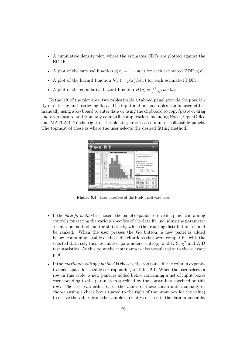- A cumulative density plot, where the estimates CDFs are plotted against the ECDF.
- A plot of the survival function  $s(x) = 1 p(x)$  for each estimated PDF  $p(x)$ .
- A plot of the hazard function  $h(x) = p(x)/s(x)$  for each estimated PDF.
- A plot of the cumulative hazard function  $H(y) = \int_{-inf}^{y} p(x) dx$ .

To the left of the plot area, two tables inside a tabbed panel provide the possibility of entering and retrieving data. The input and output tables can be used either manually using a keyboard to enter data or using the clipboard to copy/paste or drag and drop data to and from any compatible application, including Excel, OpenOffice and MATLAB. To the right of the plotting area is a column of collapsible panels. The topmost of these is where the user selects the desired fitting method.



**Figure 5.1.** User interface of the ProFit software tool.

- If the *data fit method* is chosen, the panel expands to reveal a panel containing controls for setting the various specifics of the data fit, including the parameter estimation method and the statistic by which the resulting distributions should be ranked. When the user presses the Go button, a new panel is added below, containing a table of those distributions that were compatible with the selected data set, their estimated parameters, entropy and K-S,  $\chi^2$  and A-D test statistics. At this point the center area is also populated with the relevant plots.
- If the *maximum entropy method* is chosen, the top panel in the column expands to make space for a table corresponding to Table 2.1. When the user selects a row in this table, a new panel is added below containing a list of input boxes corresponding to the parameters specified by the constraints specified on this row. The user can either enter the values of these constraints manually or choose (using a check box situated to the right of the input box for the value) to derive the values from the sample currently selected in the data input table.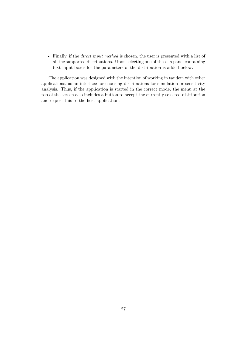• Finally, if the *direct input method* is chosen, the user is presented with a list of all the supported distributions. Upon selecting one of these, a panel containing text input boxes for the parameters of the distribution is added below.

The application was designed with the intention of working in tandem with other applications, as an interface for choosing distributions for simulation or sensitivity analysis. Thus, if the application is started in the correct mode, the menu at the top of the screen also includes a button to accept the currently selected distribution and export this to the host application.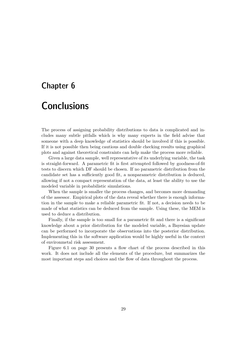### Chapter 6

# **Conclusions**

The process of assigning probability distributions to data is complicated and includes many subtle pitfalls which is why many experts in the field advise that someone with a deep knowledge of statistics should be involved if this is possible. If it is not possible then being cautious and double checking results using graphical plots and against theoretical constraints can help make the process more reliable.

Given a large data sample, well representative of its underlying variable, the task is straight-forward. A parametric fit is first attempted followed by goodness-of-fit tests to discern which DF should be chosen. If no parametric distribution from the candidate set has a sufficiently good fit, a nonparametric distribution is deduced, allowing if not a compact representation of the data, at least the ability to use the modeled variable in probabilistic simulations.

When the sample is smaller the process changes, and becomes more demanding of the assessor. Empirical plots of the data reveal whether there is enough information in the sample to make a reliable parametric fit. If not, a decision needs to be made of what statistics can be deduced from the sample. Using these, the MEM is used to deduce a distribution.

Finally, if the sample is too small for a parametric fit and there is a significant knowledge about a prior distribution for the modeled variable, a Bayesian update can be performed to incorporate the observations into the posterior distribution. Implementing this in the software application would be highly useful in the context of environmetal risk assessment.

Figure 6.1 on page 30 presents a flow chart of the process described in this work. It does not include all the elements of the procedure, but summarizes the most important steps and choices and the flow of data throughout the process.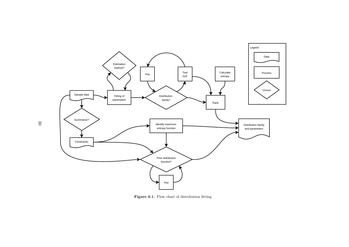

**Figure 6.1.** Flow chart of distribution fitting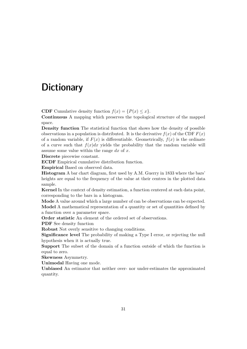# **Dictionary**

**CDF** Cumulative density function  $f(x) = {P(x) \le x}$ .

**Continuous** A mapping which preserves the topological structure of the mapped space.

**Density function** The statistical function that shows how the density of possible observations in a population is distributed. It is the derivative  $f(x)$  of the CDF  $F(x)$ of a random variable, if  $F(x)$  is differentiable. Geometrically,  $f(x)$  is the ordinate of a curve such that  $f(x)dx$  yields the probability that the random variable will assume some value within the range  $dx$  of  $x$ .

**Discrete** piecewise constant.

**ECDF** Empirical cumulative distribution function.

**Empirical** Based on observed data.

**Histogram** A bar chart diagram, first used by A.M. Guerry in 1833 where the bars' heights are equal to the frequency of the value at their centres in the plotted data sample.

**Kernel** In the context of density estimation, a function centered at each data point, corresponding to the bars in a histogram.

**Mode** A value around which a large number of can be observations can be expected. **Model** A mathematical representation of a quantity or set of quantities defined by a function over a parameter space.

**Order statistic** An element of the ordered set of observations.

**PDF** See density function

**Robust** Not overly sensitive to changing conditions.

**Significance level** The probability of making a Type I error, or rejecting the null hypothesis when it is actually true.

**Support** The subset of the domain of a function outside of which the function is equal to zero.

**Skewness** Asymmetry.

**Unimodal** Having one mode.

**Unbiased** An estimator that neither over- nor under-estimates the approximated quantity.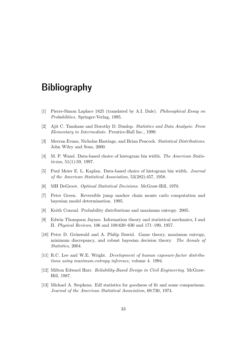# **Bibliography**

- [1] Pierre-Simon Laplace 1825 (translated by A.I. Dale). *Philosophical Essay on Probabilities*. Springer-Verlag, 1995.
- [2] Ajit C. Tamhane and Dorothy D. Dunlop. *Statistics and Data Analysis: From Elementary to Intermediate*. Prentice-Hall Inc., 1999.
- [3] Merran Evans, Nicholas Hastings, and Brian Peacock. *Statistical Distributions*. John Wiley and Sons, 2000.
- [4] M. P. Wand. Data-based choice of histogram bin width. *The American Statistician*, 51(1):59, 1997.
- [5] Paul Meier E. L. Kaplan. Data-based choice of histogram bin width. *Journal of the American Statistical Association*, 53(282):457, 1958.
- [6] MH DeGroot. *Optimal Statistical Decisions*. McGraw-Hill, 1970.
- [7] Peter Green. Reversible jump markov chain monte carlo computation and bayesian model determination. 1995.
- [8] Keith Conrad. Probability distributions and maximum entropy. 2005.
- [9] Edwin Thompson Jaynes. Information theory and statistical mechanics, I and II. *Physical Reviews*, 106 and 108:620–630 and 171–190, 1957.
- [10] Peter D. Grünwald and A. Philip Dawid. Game theory, maximum entropy, minimum discrepancy, and robust bayesian decision theory. *The Annals of Statistics*, 2004.
- [11] R.C. Lee and W.E. Wright. *Development of human exposure-factor distributions using maximum-entropy inference*, volume 4. 1994.
- [12] Milton Edward Harr. *Reliability-Based Design in Civil Engineering*. McGraw-Hill, 1987.
- [13] Michael A. Stephens. Edf statistics for goodness of fit and some comparisons. *Journal of the American Statistical Association*, 69:730, 1974.